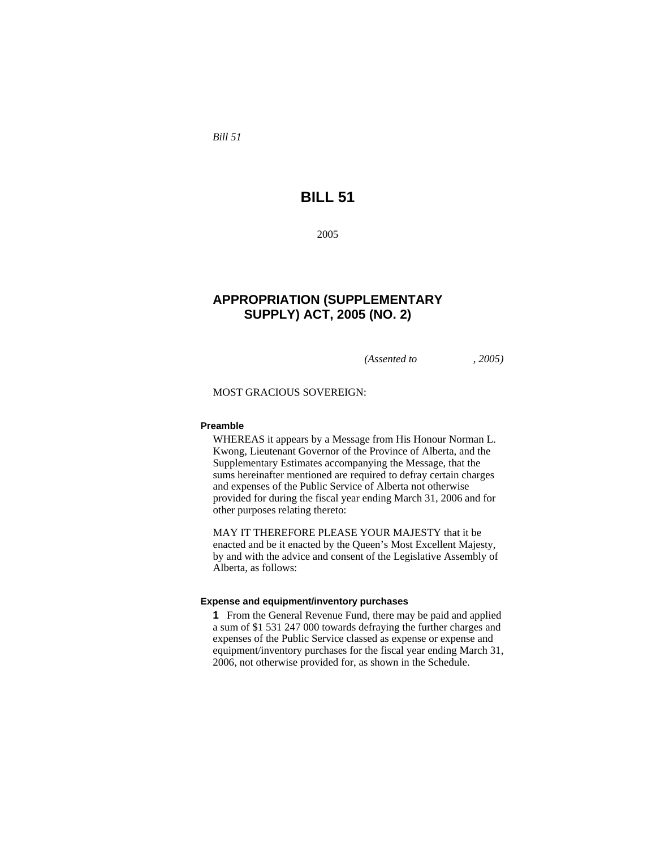*Bill 51* 

# **BILL 51**

2005

# **APPROPRIATION (SUPPLEMENTARY SUPPLY) ACT, 2005 (NO. 2)**

*(Assented to , 2005)* 

MOST GRACIOUS SOVEREIGN:

### **Preamble**

WHEREAS it appears by a Message from His Honour Norman L. Kwong, Lieutenant Governor of the Province of Alberta, and the Supplementary Estimates accompanying the Message, that the sums hereinafter mentioned are required to defray certain charges and expenses of the Public Service of Alberta not otherwise provided for during the fiscal year ending March 31, 2006 and for other purposes relating thereto:

MAY IT THEREFORE PLEASE YOUR MAJESTY that it be enacted and be it enacted by the Queen's Most Excellent Majesty, by and with the advice and consent of the Legislative Assembly of Alberta, as follows:

#### **Expense and equipment/inventory purchases**

**1** From the General Revenue Fund, there may be paid and applied a sum of \$1 531 247 000 towards defraying the further charges and expenses of the Public Service classed as expense or expense and equipment/inventory purchases for the fiscal year ending March 31, 2006, not otherwise provided for, as shown in the Schedule.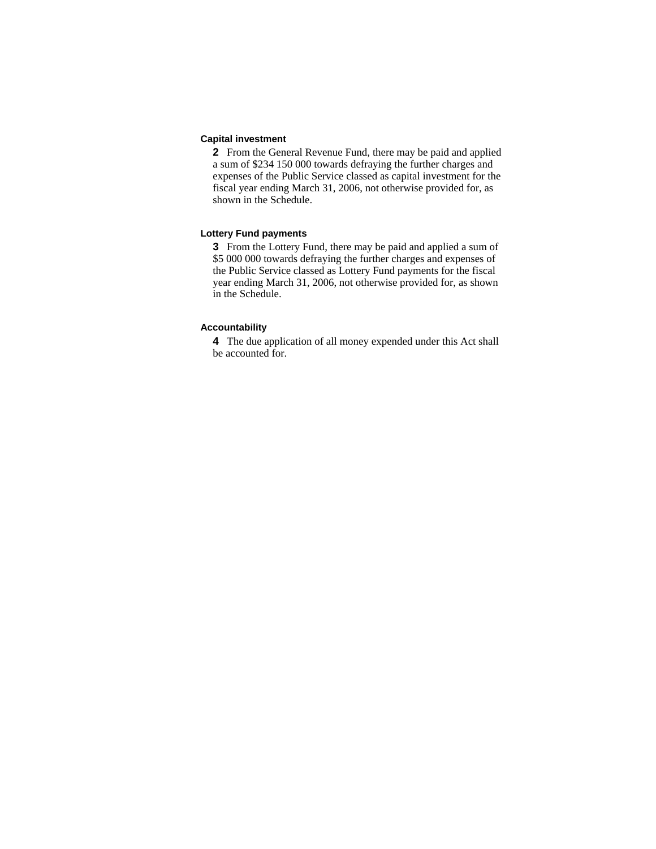#### **Capital investment**

**2** From the General Revenue Fund, there may be paid and applied a sum of \$234 150 000 towards defraying the further charges and expenses of the Public Service classed as capital investment for the fiscal year ending March 31, 2006, not otherwise provided for, as shown in the Schedule.

### **Lottery Fund payments**

**3** From the Lottery Fund, there may be paid and applied a sum of \$5 000 000 towards defraying the further charges and expenses of the Public Service classed as Lottery Fund payments for the fiscal year ending March 31, 2006, not otherwise provided for, as shown in the Schedule.

#### **Accountability**

**4** The due application of all money expended under this Act shall be accounted for.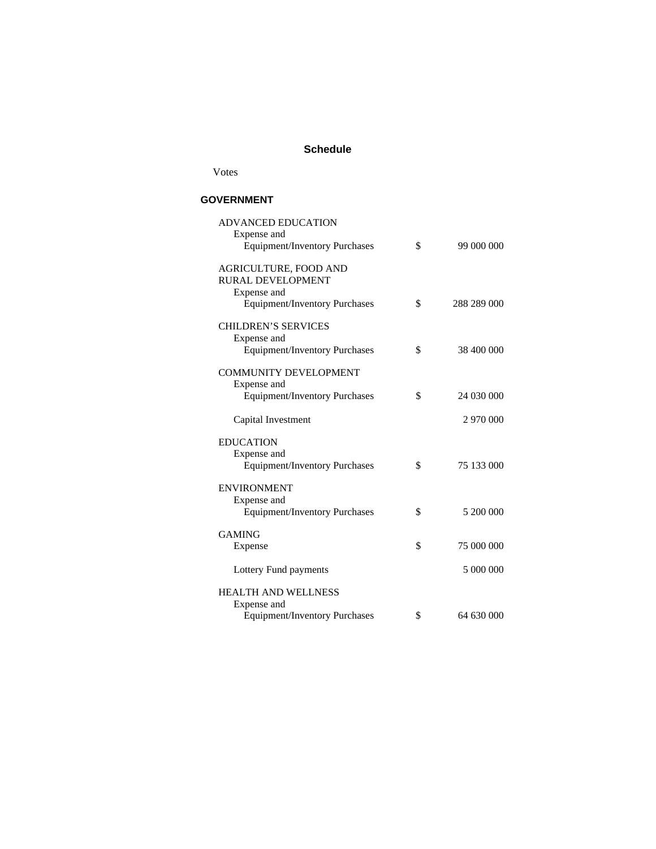## **Schedule**

Votes

## **GOVERNMENT**

| <b>ADVANCED EDUCATION</b><br>Expense and            |                   |
|-----------------------------------------------------|-------------------|
| <b>Equipment/Inventory Purchases</b>                | \$<br>99 000 000  |
| AGRICULTURE, FOOD AND<br>RURAL DEVELOPMENT          |                   |
| Expense and<br><b>Equipment/Inventory Purchases</b> | \$<br>288 289 000 |
| <b>CHILDREN'S SERVICES</b><br>Expense and           |                   |
| <b>Equipment/Inventory Purchases</b>                | \$<br>38 400 000  |
| <b>COMMUNITY DEVELOPMENT</b><br>Expense and         |                   |
| <b>Equipment/Inventory Purchases</b>                | \$<br>24 030 000  |
| Capital Investment                                  | 2 970 000         |
| <b>EDUCATION</b>                                    |                   |
| Expense and                                         |                   |
| <b>Equipment/Inventory Purchases</b>                | \$<br>75 133 000  |
| <b>ENVIRONMENT</b><br>Expense and                   |                   |
| <b>Equipment/Inventory Purchases</b>                | \$<br>5 200 000   |
| <b>GAMING</b>                                       |                   |
| Expense                                             | \$<br>75 000 000  |
| Lottery Fund payments                               | 5 000 000         |
| <b>HEALTH AND WELLNESS</b><br>Expense and           |                   |
| <b>Equipment/Inventory Purchases</b>                | \$<br>64 630 000  |